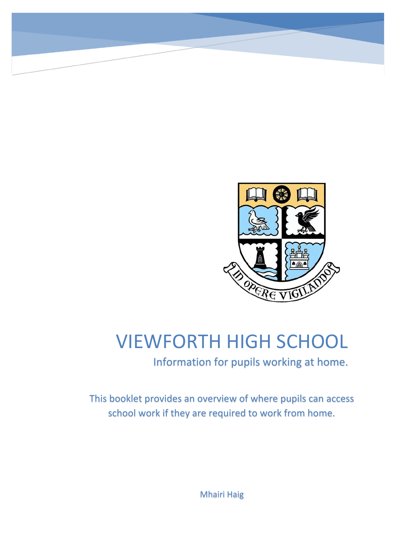

# VIEWFORTH HIGH SCHOOL

Information for pupils working at home.

This booklet provides an overview of where pupils can access school work if they are required to work from home.

Mhairi Haig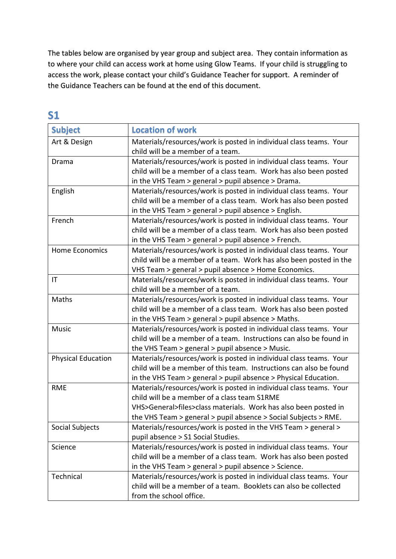The tables below are organised by year group and subject area. They contain information as to where your child can access work at home using Glow Teams. If your child is struggling to access the work, please contact your child's Guidance Teacher for support. A reminder of the Guidance Teachers can be found at the end of this document.

**S1**

| <b>Subject</b>            | <b>Location of work</b>                                             |
|---------------------------|---------------------------------------------------------------------|
| Art & Design              | Materials/resources/work is posted in individual class teams. Your  |
|                           | child will be a member of a team.                                   |
| Drama                     | Materials/resources/work is posted in individual class teams. Your  |
|                           | child will be a member of a class team. Work has also been posted   |
|                           | in the VHS Team > general > pupil absence > Drama.                  |
| English                   | Materials/resources/work is posted in individual class teams. Your  |
|                           | child will be a member of a class team. Work has also been posted   |
|                           | in the VHS Team > general > pupil absence > English.                |
| French                    | Materials/resources/work is posted in individual class teams. Your  |
|                           | child will be a member of a class team. Work has also been posted   |
|                           | in the VHS Team > general > pupil absence > French.                 |
| Home Economics            | Materials/resources/work is posted in individual class teams. Your  |
|                           | child will be a member of a team. Work has also been posted in the  |
|                           | VHS Team > general > pupil absence > Home Economics.                |
| $\mathsf{I}\mathsf{T}$    | Materials/resources/work is posted in individual class teams. Your  |
|                           | child will be a member of a team.                                   |
| Maths                     | Materials/resources/work is posted in individual class teams. Your  |
|                           | child will be a member of a class team. Work has also been posted   |
|                           | in the VHS Team > general > pupil absence > Maths.                  |
| <b>Music</b>              | Materials/resources/work is posted in individual class teams. Your  |
|                           | child will be a member of a team. Instructions can also be found in |
|                           | the VHS Team > general > pupil absence > Music.                     |
| <b>Physical Education</b> | Materials/resources/work is posted in individual class teams. Your  |
|                           | child will be a member of this team. Instructions can also be found |
|                           | in the VHS Team > general > pupil absence > Physical Education.     |
| <b>RME</b>                | Materials/resources/work is posted in individual class teams. Your  |
|                           | child will be a member of a class team S1RME                        |
|                           | VHS>General>files>class materials. Work has also been posted in     |
|                           | the VHS Team > general > pupil absence > Social Subjects > RME.     |
| Social Subjects           | Materials/resources/work is posted in the VHS Team > general >      |
|                           | pupil absence > S1 Social Studies.                                  |
| Science                   | Materials/resources/work is posted in individual class teams. Your  |
|                           | child will be a member of a class team. Work has also been posted   |
|                           | in the VHS Team > general > pupil absence > Science.                |
| Technical                 | Materials/resources/work is posted in individual class teams. Your  |
|                           | child will be a member of a team. Booklets can also be collected    |
|                           | from the school office.                                             |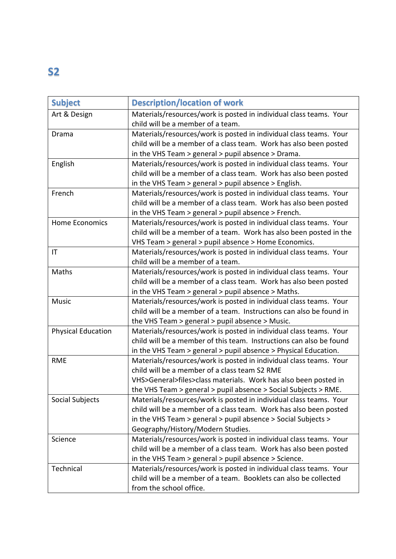# **S2**

| <b>Subject</b>            | <b>Description/location of work</b>                                                                     |
|---------------------------|---------------------------------------------------------------------------------------------------------|
| Art & Design              | Materials/resources/work is posted in individual class teams. Your<br>child will be a member of a team. |
| Drama                     | Materials/resources/work is posted in individual class teams. Your                                      |
|                           | child will be a member of a class team. Work has also been posted                                       |
|                           | in the VHS Team > general > pupil absence > Drama.                                                      |
| English                   | Materials/resources/work is posted in individual class teams. Your                                      |
|                           | child will be a member of a class team. Work has also been posted                                       |
|                           | in the VHS Team > general > pupil absence > English.                                                    |
| French                    | Materials/resources/work is posted in individual class teams. Your                                      |
|                           | child will be a member of a class team. Work has also been posted                                       |
|                           | in the VHS Team > general > pupil absence > French.                                                     |
| <b>Home Economics</b>     | Materials/resources/work is posted in individual class teams. Your                                      |
|                           | child will be a member of a team. Work has also been posted in the                                      |
|                           | VHS Team > general > pupil absence > Home Economics.                                                    |
| $\mathsf{I}\mathsf{T}$    | Materials/resources/work is posted in individual class teams. Your                                      |
|                           | child will be a member of a team.                                                                       |
| Maths                     | Materials/resources/work is posted in individual class teams. Your                                      |
|                           | child will be a member of a class team. Work has also been posted                                       |
|                           | in the VHS Team > general > pupil absence > Maths.                                                      |
| <b>Music</b>              | Materials/resources/work is posted in individual class teams. Your                                      |
|                           | child will be a member of a team. Instructions can also be found in                                     |
|                           | the VHS Team > general > pupil absence > Music.                                                         |
| <b>Physical Education</b> | Materials/resources/work is posted in individual class teams. Your                                      |
|                           | child will be a member of this team. Instructions can also be found                                     |
|                           | in the VHS Team > general > pupil absence > Physical Education.                                         |
| <b>RME</b>                | Materials/resources/work is posted in individual class teams. Your                                      |
|                           | child will be a member of a class team S2 RME                                                           |
|                           | VHS>General>files>class materials. Work has also been posted in                                         |
|                           | the VHS Team > general > pupil absence > Social Subjects > RME.                                         |
| Social Subjects           | Materials/resources/work is posted in individual class teams. Your                                      |
|                           | child will be a member of a class team. Work has also been posted                                       |
|                           | in the VHS Team > general > pupil absence > Social Subjects >                                           |
|                           | Geography/History/Modern Studies.                                                                       |
| Science                   | Materials/resources/work is posted in individual class teams. Your                                      |
|                           | child will be a member of a class team. Work has also been posted                                       |
|                           | in the VHS Team > general > pupil absence > Science.                                                    |
| Technical                 | Materials/resources/work is posted in individual class teams. Your                                      |
|                           | child will be a member of a team. Booklets can also be collected                                        |
|                           | from the school office.                                                                                 |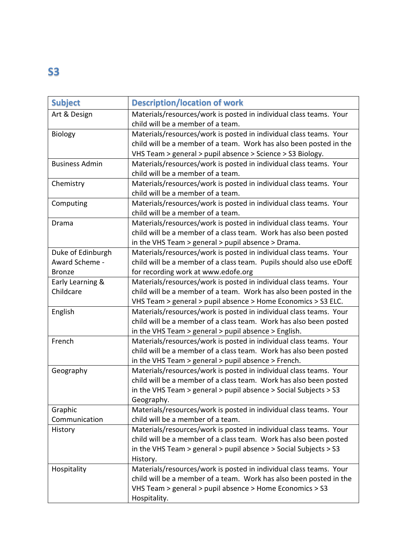### **S3**

| <b>Subject</b>                      | <b>Description/location of work</b>                                                                                                                                                                                       |
|-------------------------------------|---------------------------------------------------------------------------------------------------------------------------------------------------------------------------------------------------------------------------|
| Art & Design                        | Materials/resources/work is posted in individual class teams. Your<br>child will be a member of a team.                                                                                                                   |
| Biology                             | Materials/resources/work is posted in individual class teams. Your<br>child will be a member of a team. Work has also been posted in the<br>VHS Team > general > pupil absence > Science > S3 Biology.                    |
| <b>Business Admin</b>               | Materials/resources/work is posted in individual class teams. Your<br>child will be a member of a team.                                                                                                                   |
| Chemistry                           | Materials/resources/work is posted in individual class teams. Your<br>child will be a member of a team.                                                                                                                   |
| Computing                           | Materials/resources/work is posted in individual class teams. Your<br>child will be a member of a team.                                                                                                                   |
| Drama                               | Materials/resources/work is posted in individual class teams. Your<br>child will be a member of a class team. Work has also been posted<br>in the VHS Team > general > pupil absence > Drama.                             |
| Duke of Edinburgh<br>Award Scheme - | Materials/resources/work is posted in individual class teams. Your<br>child will be a member of a class team. Pupils should also use eDofE                                                                                |
| <b>Bronze</b>                       | for recording work at www.edofe.org                                                                                                                                                                                       |
| Early Learning &                    | Materials/resources/work is posted in individual class teams. Your                                                                                                                                                        |
| Childcare                           | child will be a member of a team. Work has also been posted in the<br>VHS Team > general > pupil absence > Home Economics > S3 ELC.                                                                                       |
| English                             | Materials/resources/work is posted in individual class teams. Your<br>child will be a member of a class team. Work has also been posted<br>in the VHS Team > general > pupil absence > English.                           |
| French                              | Materials/resources/work is posted in individual class teams. Your<br>child will be a member of a class team. Work has also been posted<br>in the VHS Team > general > pupil absence > French.                            |
| Geography                           | Materials/resources/work is posted in individual class teams. Your<br>child will be a member of a class team. Work has also been posted<br>in the VHS Team > general > pupil absence > Social Subjects > S3<br>Geography. |
| Graphic                             | Materials/resources/work is posted in individual class teams. Your                                                                                                                                                        |
| Communication                       | child will be a member of a team.                                                                                                                                                                                         |
| History                             | Materials/resources/work is posted in individual class teams. Your<br>child will be a member of a class team. Work has also been posted<br>in the VHS Team > general > pupil absence > Social Subjects > S3<br>History.   |
| Hospitality                         | Materials/resources/work is posted in individual class teams. Your<br>child will be a member of a team. Work has also been posted in the<br>VHS Team > general > pupil absence > Home Economics > S3<br>Hospitality.      |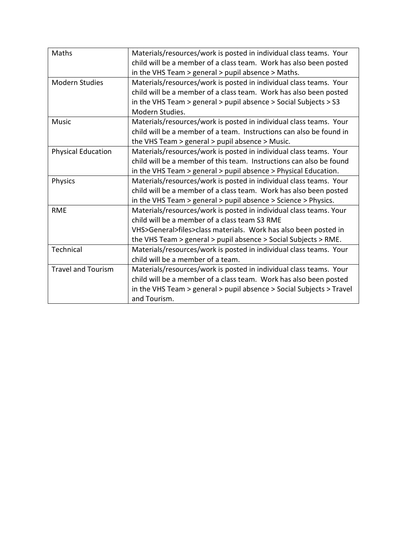| Maths                     | Materials/resources/work is posted in individual class teams. Your   |
|---------------------------|----------------------------------------------------------------------|
|                           | child will be a member of a class team. Work has also been posted    |
|                           | in the VHS Team > general > pupil absence > Maths.                   |
| <b>Modern Studies</b>     | Materials/resources/work is posted in individual class teams. Your   |
|                           | child will be a member of a class team. Work has also been posted    |
|                           | in the VHS Team > general > pupil absence > Social Subjects > S3     |
|                           | Modern Studies.                                                      |
| <b>Music</b>              | Materials/resources/work is posted in individual class teams. Your   |
|                           | child will be a member of a team. Instructions can also be found in  |
|                           | the VHS Team > general > pupil absence > Music.                      |
| <b>Physical Education</b> | Materials/resources/work is posted in individual class teams. Your   |
|                           | child will be a member of this team. Instructions can also be found  |
|                           | in the VHS Team > general > pupil absence > Physical Education.      |
| Physics                   | Materials/resources/work is posted in individual class teams. Your   |
|                           | child will be a member of a class team. Work has also been posted    |
|                           | in the VHS Team > general > pupil absence > Science > Physics.       |
| <b>RME</b>                | Materials/resources/work is posted in individual class teams. Your   |
|                           | child will be a member of a class team S3 RME                        |
|                           | VHS>General>files>class materials. Work has also been posted in      |
|                           | the VHS Team > general > pupil absence > Social Subjects > RME.      |
| Technical                 | Materials/resources/work is posted in individual class teams. Your   |
|                           | child will be a member of a team.                                    |
| <b>Travel and Tourism</b> | Materials/resources/work is posted in individual class teams. Your   |
|                           | child will be a member of a class team. Work has also been posted    |
|                           | in the VHS Team > general > pupil absence > Social Subjects > Travel |
|                           | and Tourism.                                                         |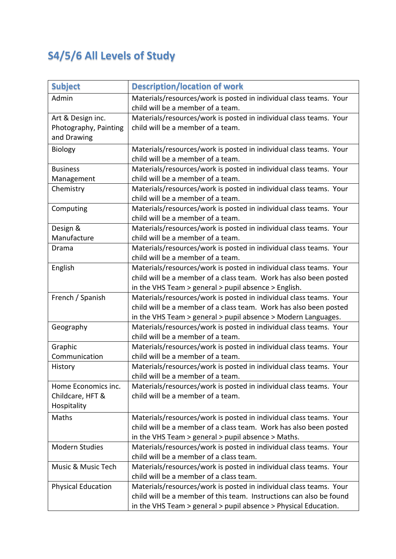# **S4/5/6 All Levels of Study**

| <b>Subject</b>                                            | <b>Description/location of work</b>                                                                                                                                                                          |
|-----------------------------------------------------------|--------------------------------------------------------------------------------------------------------------------------------------------------------------------------------------------------------------|
| Admin                                                     | Materials/resources/work is posted in individual class teams. Your<br>child will be a member of a team.                                                                                                      |
| Art & Design inc.<br>Photography, Painting<br>and Drawing | Materials/resources/work is posted in individual class teams. Your<br>child will be a member of a team.                                                                                                      |
| <b>Biology</b>                                            | Materials/resources/work is posted in individual class teams. Your<br>child will be a member of a team.                                                                                                      |
| <b>Business</b><br>Management                             | Materials/resources/work is posted in individual class teams. Your<br>child will be a member of a team.                                                                                                      |
| Chemistry                                                 | Materials/resources/work is posted in individual class teams. Your<br>child will be a member of a team.                                                                                                      |
| Computing                                                 | Materials/resources/work is posted in individual class teams. Your<br>child will be a member of a team.                                                                                                      |
| Design &<br>Manufacture                                   | Materials/resources/work is posted in individual class teams. Your<br>child will be a member of a team.                                                                                                      |
| Drama                                                     | Materials/resources/work is posted in individual class teams. Your<br>child will be a member of a team.                                                                                                      |
| English                                                   | Materials/resources/work is posted in individual class teams. Your<br>child will be a member of a class team. Work has also been posted<br>in the VHS Team > general > pupil absence > English.              |
| French / Spanish                                          | Materials/resources/work is posted in individual class teams. Your<br>child will be a member of a class team. Work has also been posted<br>in the VHS Team > general > pupil absence > Modern Languages.     |
| Geography                                                 | Materials/resources/work is posted in individual class teams. Your<br>child will be a member of a team.                                                                                                      |
| Graphic<br>Communication                                  | Materials/resources/work is posted in individual class teams. Your<br>child will be a member of a team.                                                                                                      |
| History                                                   | Materials/resources/work is posted in individual class teams. Your<br>child will be a member of a team.                                                                                                      |
| Home Economics inc.<br>Childcare, HFT &<br>Hospitality    | Materials/resources/work is posted in individual class teams. Your<br>child will be a member of a team.                                                                                                      |
| Maths                                                     | Materials/resources/work is posted in individual class teams. Your<br>child will be a member of a class team. Work has also been posted<br>in the VHS Team > general > pupil absence > Maths.                |
| <b>Modern Studies</b>                                     | Materials/resources/work is posted in individual class teams. Your<br>child will be a member of a class team.                                                                                                |
| Music & Music Tech                                        | Materials/resources/work is posted in individual class teams. Your<br>child will be a member of a class team.                                                                                                |
| <b>Physical Education</b>                                 | Materials/resources/work is posted in individual class teams. Your<br>child will be a member of this team. Instructions can also be found<br>in the VHS Team > general > pupil absence > Physical Education. |